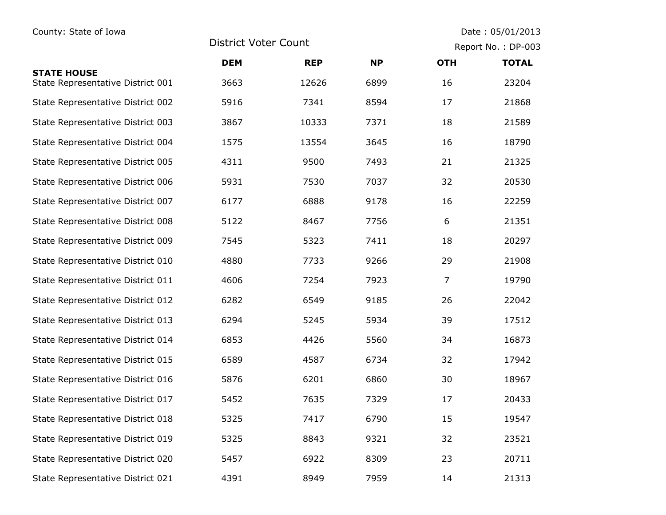## County: State of Iowa **Date : 05/01/2013**

District Voter Count Report No. : DP-003

|                                                         | <b>DEM</b> | <b>REP</b> | <b>NP</b> | <b>OTH</b>     | <b>TOTAL</b> |
|---------------------------------------------------------|------------|------------|-----------|----------------|--------------|
| <b>STATE HOUSE</b><br>State Representative District 001 | 3663       | 12626      | 6899      | 16             | 23204        |
| State Representative District 002                       | 5916       | 7341       | 8594      | 17             | 21868        |
| State Representative District 003                       | 3867       | 10333      | 7371      | 18             | 21589        |
| State Representative District 004                       | 1575       | 13554      | 3645      | 16             | 18790        |
| State Representative District 005                       | 4311       | 9500       | 7493      | 21             | 21325        |
| State Representative District 006                       | 5931       | 7530       | 7037      | 32             | 20530        |
| State Representative District 007                       | 6177       | 6888       | 9178      | 16             | 22259        |
| State Representative District 008                       | 5122       | 8467       | 7756      | 6              | 21351        |
| State Representative District 009                       | 7545       | 5323       | 7411      | 18             | 20297        |
| State Representative District 010                       | 4880       | 7733       | 9266      | 29             | 21908        |
| State Representative District 011                       | 4606       | 7254       | 7923      | $\overline{7}$ | 19790        |
| State Representative District 012                       | 6282       | 6549       | 9185      | 26             | 22042        |
| State Representative District 013                       | 6294       | 5245       | 5934      | 39             | 17512        |
| State Representative District 014                       | 6853       | 4426       | 5560      | 34             | 16873        |
| State Representative District 015                       | 6589       | 4587       | 6734      | 32             | 17942        |
| State Representative District 016                       | 5876       | 6201       | 6860      | 30             | 18967        |
| State Representative District 017                       | 5452       | 7635       | 7329      | 17             | 20433        |
| State Representative District 018                       | 5325       | 7417       | 6790      | 15             | 19547        |
| State Representative District 019                       | 5325       | 8843       | 9321      | 32             | 23521        |
| State Representative District 020                       | 5457       | 6922       | 8309      | 23             | 20711        |
| State Representative District 021                       | 4391       | 8949       | 7959      | 14             | 21313        |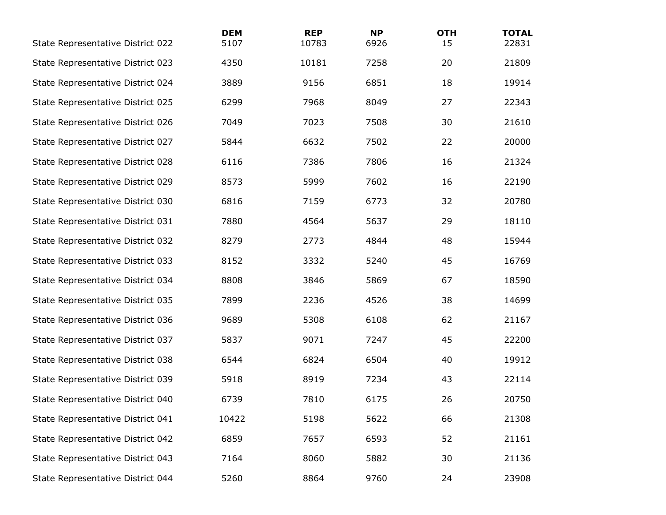| State Representative District 022 | <b>DEM</b><br>5107 | <b>REP</b><br>10783 | <b>NP</b><br>6926 | <b>OTH</b><br>15 | <b>TOTAL</b><br>22831 |
|-----------------------------------|--------------------|---------------------|-------------------|------------------|-----------------------|
| State Representative District 023 | 4350               | 10181               | 7258              | 20               | 21809                 |
| State Representative District 024 | 3889               | 9156                | 6851              | 18               | 19914                 |
| State Representative District 025 | 6299               | 7968                | 8049              | 27               | 22343                 |
| State Representative District 026 | 7049               | 7023                | 7508              | 30               | 21610                 |
| State Representative District 027 | 5844               | 6632                | 7502              | 22               | 20000                 |
| State Representative District 028 | 6116               | 7386                | 7806              | 16               | 21324                 |
| State Representative District 029 | 8573               | 5999                | 7602              | 16               | 22190                 |
| State Representative District 030 | 6816               | 7159                | 6773              | 32               | 20780                 |
| State Representative District 031 | 7880               | 4564                | 5637              | 29               | 18110                 |
| State Representative District 032 | 8279               | 2773                | 4844              | 48               | 15944                 |
| State Representative District 033 | 8152               | 3332                | 5240              | 45               | 16769                 |
| State Representative District 034 | 8808               | 3846                | 5869              | 67               | 18590                 |
| State Representative District 035 | 7899               | 2236                | 4526              | 38               | 14699                 |
| State Representative District 036 | 9689               | 5308                | 6108              | 62               | 21167                 |
| State Representative District 037 | 5837               | 9071                | 7247              | 45               | 22200                 |
| State Representative District 038 | 6544               | 6824                | 6504              | 40               | 19912                 |
| State Representative District 039 | 5918               | 8919                | 7234              | 43               | 22114                 |
| State Representative District 040 | 6739               | 7810                | 6175              | 26               | 20750                 |
| State Representative District 041 | 10422              | 5198                | 5622              | 66               | 21308                 |
| State Representative District 042 | 6859               | 7657                | 6593              | 52               | 21161                 |
| State Representative District 043 | 7164               | 8060                | 5882              | 30               | 21136                 |
| State Representative District 044 | 5260               | 8864                | 9760              | 24               | 23908                 |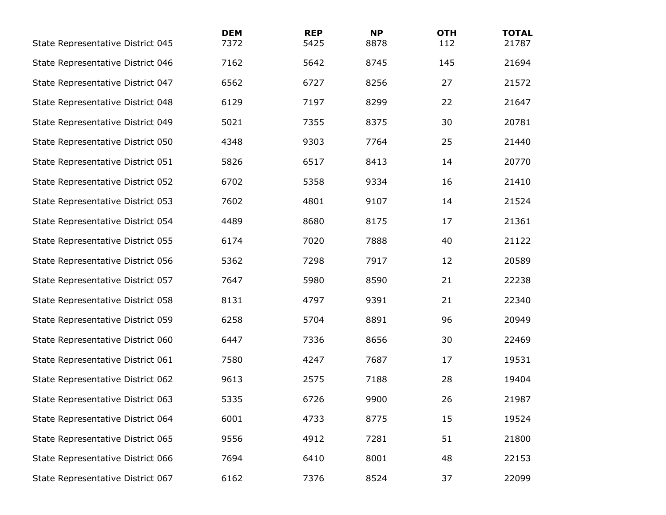| State Representative District 045 | <b>DEM</b><br>7372 | <b>REP</b><br>5425 | <b>NP</b><br>8878 | <b>OTH</b><br>112 | <b>TOTAL</b><br>21787 |
|-----------------------------------|--------------------|--------------------|-------------------|-------------------|-----------------------|
| State Representative District 046 | 7162               | 5642               | 8745              | 145               | 21694                 |
| State Representative District 047 | 6562               | 6727               | 8256              | 27                | 21572                 |
| State Representative District 048 | 6129               | 7197               | 8299              | 22                | 21647                 |
| State Representative District 049 | 5021               | 7355               | 8375              | 30                | 20781                 |
| State Representative District 050 | 4348               | 9303               | 7764              | 25                | 21440                 |
| State Representative District 051 | 5826               | 6517               | 8413              | 14                | 20770                 |
| State Representative District 052 | 6702               | 5358               | 9334              | 16                | 21410                 |
| State Representative District 053 | 7602               | 4801               | 9107              | 14                | 21524                 |
| State Representative District 054 | 4489               | 8680               | 8175              | 17                | 21361                 |
| State Representative District 055 | 6174               | 7020               | 7888              | 40                | 21122                 |
| State Representative District 056 | 5362               | 7298               | 7917              | 12                | 20589                 |
| State Representative District 057 | 7647               | 5980               | 8590              | 21                | 22238                 |
| State Representative District 058 | 8131               | 4797               | 9391              | 21                | 22340                 |
| State Representative District 059 | 6258               | 5704               | 8891              | 96                | 20949                 |
| State Representative District 060 | 6447               | 7336               | 8656              | 30                | 22469                 |
| State Representative District 061 | 7580               | 4247               | 7687              | 17                | 19531                 |
| State Representative District 062 | 9613               | 2575               | 7188              | 28                | 19404                 |
| State Representative District 063 | 5335               | 6726               | 9900              | 26                | 21987                 |
| State Representative District 064 | 6001               | 4733               | 8775              | 15                | 19524                 |
| State Representative District 065 | 9556               | 4912               | 7281              | 51                | 21800                 |
| State Representative District 066 | 7694               | 6410               | 8001              | 48                | 22153                 |
| State Representative District 067 | 6162               | 7376               | 8524              | 37                | 22099                 |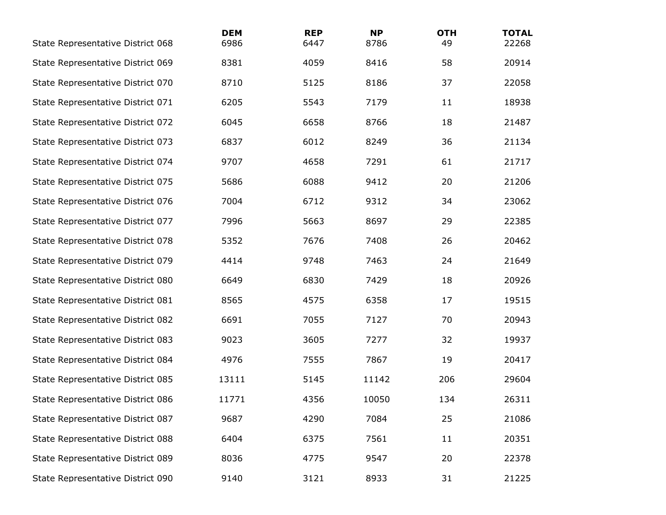| State Representative District 068 | <b>DEM</b><br>6986 | <b>REP</b><br>6447 | <b>NP</b><br>8786 | <b>OTH</b><br>49 | <b>TOTAL</b><br>22268 |
|-----------------------------------|--------------------|--------------------|-------------------|------------------|-----------------------|
| State Representative District 069 | 8381               | 4059               | 8416              | 58               | 20914                 |
| State Representative District 070 | 8710               | 5125               | 8186              | 37               | 22058                 |
| State Representative District 071 | 6205               | 5543               | 7179              | 11               | 18938                 |
| State Representative District 072 | 6045               | 6658               | 8766              | 18               | 21487                 |
| State Representative District 073 | 6837               | 6012               | 8249              | 36               | 21134                 |
| State Representative District 074 | 9707               | 4658               | 7291              | 61               | 21717                 |
| State Representative District 075 | 5686               | 6088               | 9412              | 20               | 21206                 |
| State Representative District 076 | 7004               | 6712               | 9312              | 34               | 23062                 |
| State Representative District 077 | 7996               | 5663               | 8697              | 29               | 22385                 |
| State Representative District 078 | 5352               | 7676               | 7408              | 26               | 20462                 |
| State Representative District 079 | 4414               | 9748               | 7463              | 24               | 21649                 |
| State Representative District 080 | 6649               | 6830               | 7429              | 18               | 20926                 |
| State Representative District 081 | 8565               | 4575               | 6358              | 17               | 19515                 |
| State Representative District 082 | 6691               | 7055               | 7127              | 70               | 20943                 |
| State Representative District 083 | 9023               | 3605               | 7277              | 32               | 19937                 |
| State Representative District 084 | 4976               | 7555               | 7867              | 19               | 20417                 |
| State Representative District 085 | 13111              | 5145               | 11142             | 206              | 29604                 |
| State Representative District 086 | 11771              | 4356               | 10050             | 134              | 26311                 |
| State Representative District 087 | 9687               | 4290               | 7084              | 25               | 21086                 |
| State Representative District 088 | 6404               | 6375               | 7561              | 11               | 20351                 |
| State Representative District 089 | 8036               | 4775               | 9547              | 20               | 22378                 |
| State Representative District 090 | 9140               | 3121               | 8933              | 31               | 21225                 |